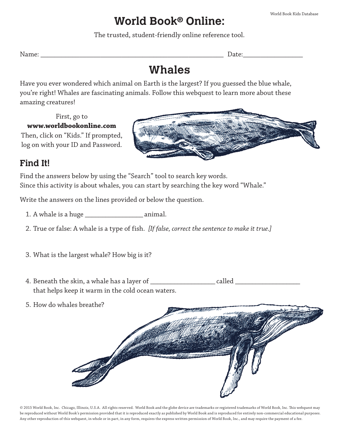## **World Book**® **Online:**

The trusted, student-friendly online reference tool.

Name: \_\_\_\_\_\_\_\_\_\_\_\_\_\_\_\_\_\_\_\_\_\_\_\_\_\_\_\_\_\_\_\_\_\_\_\_\_\_\_\_\_\_\_\_\_\_\_\_\_\_\_\_ Date:\_\_\_\_\_\_\_\_\_\_\_\_\_\_\_\_\_

# **Whales**

Have you ever wondered which animal on Earth is the largest? If you guessed the blue whale, you're right! Whales are fascinating animals. Follow this webquest to learn more about these amazing creatures!

#### First, go to **www.worldbookonline.com**

Then, click on "Kids." If prompted, log on with your ID and Password.



### **Find It!**

Find the answers below by using the "Search" tool to search key words. Since this activity is about whales, you can start by searching the key word "Whale."

Write the answers on the lines provided or below the question.

1. A whale is a huge \_\_\_\_\_\_\_\_\_\_\_\_\_\_\_\_\_ animal.

- 2. True or false: A whale is a type of fish. *[If false, correct the sentence to make it true.]*
- 3. What is the largest whale? How big is it?
- 4. Beneath the skin, a whale has a layer of \_\_\_\_\_\_\_\_\_\_\_\_\_\_\_\_\_\_\_ called \_\_\_\_\_\_\_\_\_\_\_\_\_\_\_\_\_\_\_ that helps keep it warm in the cold ocean waters.
- 5. How do whales breathe?



© 2015 World Book, Inc. Chicago, Illinois, U.S.A. All rights reserved. World Book and the globe device are trademarks or registered trademarks of World Book, Inc. This webquest may be reproduced without World Book's permission provided that it is reproduced exactly as published by World Book and is reproduced for entirely non-commercial educational purposes. Any other reproduction of this webquest, in whole or in part, in any form, requires the express written permission of World Book, Inc., and may require the payment of a fee.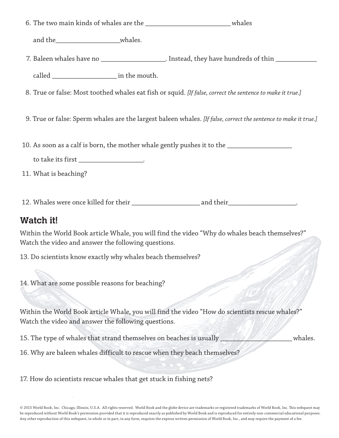6. The two main kinds of whales are the whales whales

and the whales.

7. Baleen whales have no \_\_\_\_\_\_\_\_\_\_\_\_\_\_\_\_\_\_\_\_\_\_. Instead, they have hundreds of thin \_\_\_\_\_\_\_\_\_\_\_\_\_\_\_

called  $\qquad \qquad$  in the mouth.

- 8. True or false: Most toothed whales eat fish or squid. *[If false, correct the sentence to make it true.]*
- 9. True or false: Sperm whales are the largest baleen whales. *[If false, correct the sentence to make it true.]*
- 10. As soon as a calf is born, the mother whale gently pushes it to the \_\_\_\_\_\_\_\_\_\_\_\_\_\_\_
	- to take its first \_\_\_\_\_\_\_\_\_\_\_\_\_\_\_\_\_\_\_\_.

11. What is beaching?

12. Whales were once killed for their their the canonical and their and their

#### **Watch it!**

Within the World Book article Whale, you will find the video "Why do whales beach themselves?" Watch the video and answer the following questions.

13. Do scientists know exactly why whales beach themselves?

14. What are some possible reasons for beaching?

Within the World Book article Whale, you will find the video "How do scientists rescue whales?" Watch the video and answer the following questions.

15. The type of whales that strand themselves on beaches is usually **the strandard strandard whales**.

16. Why are baleen whales difficult to rescue when they beach themselves?

17. How do scientists rescue whales that get stuck in fishing nets?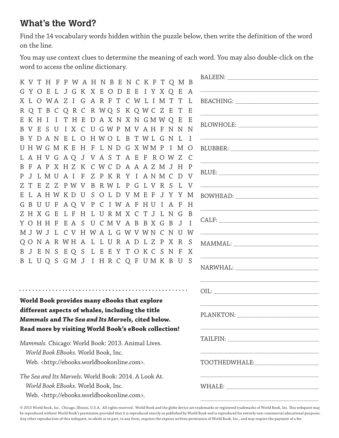### **What's the Word?**

Find the 14 vocabulary words hidden within the puzzle below, then write the definition of the word on the line.

You may use context clues to determine the meaning of each word. You may also double-click on the word to access the online dictionary.

| K V T H F P W A H N B E N C K F T Q M B               |                                                                                                                                                                                                                                |
|-------------------------------------------------------|--------------------------------------------------------------------------------------------------------------------------------------------------------------------------------------------------------------------------------|
| GYOEL JGK X EODEE I Y X O E<br>A                      |                                                                                                                                                                                                                                |
| X L O WA Z I G A R F T C W L I M T T<br>L             |                                                                                                                                                                                                                                |
| R Q T B C Q R C R W Q S K Q W C Z E T<br>Ε            |                                                                                                                                                                                                                                |
| EKHII THE DAXNXN GMWQ E E                             |                                                                                                                                                                                                                                |
| B V E S U I X C U G W P M V A H F N N N               |                                                                                                                                                                                                                                |
| BYDANELOHWOL BTWLGNL                                  | <u> 1980 - Johann Barbara, margaret eta idazlea (h. 1980).</u>                                                                                                                                                                 |
| UHWGMKEH FLNDGXWMPIMO                                 |                                                                                                                                                                                                                                |
| L A H V G A Q J V A S T A E F R O W Z C               |                                                                                                                                                                                                                                |
| B F A P X H Z K C W C D A A A Z M J H P               |                                                                                                                                                                                                                                |
| J L M U A I F Z P K R Y I A N M C D V<br>P.           |                                                                                                                                                                                                                                |
| T E Z Z P W V B R W L P G L V R S L<br>Z.             |                                                                                                                                                                                                                                |
| E L A H W K D U S O L D V M E F J Y Y M               | BOWHEAD: North and the second service of the service of the service of the service of the service of the series of the service of the service of the series of the series of the series of the series of the series of the ser |
| G B U U F A Q V P C I W A F H U I A F<br>H            |                                                                                                                                                                                                                                |
| ZH X G E L F H L U R M X C T J L N G<br>-B            |                                                                                                                                                                                                                                |
| YOHHFEASUCMVABBXGBJ<br>$\mathbf{I}$                   |                                                                                                                                                                                                                                |
| M J W J L C V H W A L G W V W N C N U W               | <u> 1989 - Johann Harry Harry Harry Harry Harry Harry Harry Harry Harry Harry Harry Harry Harry Harry Harry Harry</u>                                                                                                          |
| QONARWHALLURADLZPXR<br>-S                             |                                                                                                                                                                                                                                |
| B J E N S E Q S L E E Y T O K C S N F<br>X            |                                                                                                                                                                                                                                |
| B L U Q S G M J I H R C Q F U M K B U<br>-S           |                                                                                                                                                                                                                                |
|                                                       |                                                                                                                                                                                                                                |
|                                                       |                                                                                                                                                                                                                                |
| World Book provides many eBooks that explore          |                                                                                                                                                                                                                                |
| different aspects of whales, including the title      |                                                                                                                                                                                                                                |
| Mammals and The Sea and Its Marvels, cited below.     | PLANKTON:                                                                                                                                                                                                                      |
| Read more by visiting World Book's eBook collection!  |                                                                                                                                                                                                                                |
|                                                       |                                                                                                                                                                                                                                |
| Mammals. Chicago: World Book: 2013. Animal Lives.     |                                                                                                                                                                                                                                |
| World Book EBooks. World Book, Inc.                   |                                                                                                                                                                                                                                |
| Web. <http: ebooks.worldbookonline.com="">.</http:>   | TOOTHEDWHALE: TOOTHEDWHALE:                                                                                                                                                                                                    |
| The Sea and Its Marvels. World Book: 2014. A Look At. | <u> 1980 - Johann Barbara, margaret eta idazlea (h. 1980).</u>                                                                                                                                                                 |
| World Book EBooks. World Book, Inc.                   |                                                                                                                                                                                                                                |
| Web. <http: ebooks.worldbookonline.com="">.</http:>   |                                                                                                                                                                                                                                |

© 2015 World Book, Inc. Chicago, Illinois, U.S.A. All rights reserved. World Book and the globe device are trademarks or registered trademarks of World Book, Inc. This webquest may be reproduced without World Book's permission provided that it is reproduced exactly as published by World Book and is reproduced for entirely non-commercial educational purposes. Any other reproduction of this webquest, in whole or in part, in any form, requires the express written permission of World Book, Inc., and may require the payment of a fee.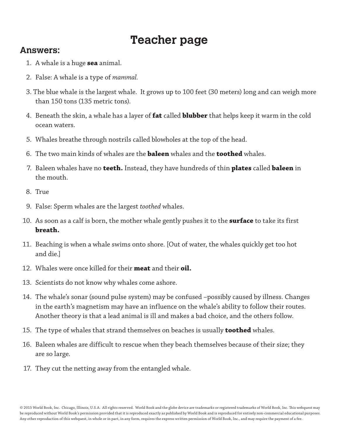# **Teacher page**

#### **Answers:**

- 1. A whale is a huge **sea** animal.
- 2. False: A whale is a type of *mammal.*
- 3. The blue whale is the largest whale. It grows up to 100 feet (30 meters) long and can weigh more than 150 tons (135 metric tons).
- 4. Beneath the skin, a whale has a layer of **fat** called **blubber** that helps keep it warm in the cold ocean waters.
- 5. Whales breathe through nostrils called blowholes at the top of the head.
- 6. The two main kinds of whales are the **baleen** whales and the **toothed** whales.
- 7. Baleen whales have no **teeth.** Instead, they have hundreds of thin **plates** called **baleen** in the mouth.
- 8. True
- 9. False: Sperm whales are the largest *toothed* whales.
- 10. As soon as a calf is born, the mother whale gently pushes it to the **surface** to take its first **breath.**
- 11. Beaching is when a whale swims onto shore. [Out of water, the whales quickly get too hot and die.]
- 12. Whales were once killed for their **meat** and their **oil.**
- 13. Scientists do not know why whales come ashore.
- 14. The whale's sonar (sound pulse system) may be confused –possibly caused by illness. Changes in the earth's magnetism may have an influence on the whale's ability to follow their routes. Another theory is that a lead animal is ill and makes a bad choice, and the others follow.
- 15. The type of whales that strand themselves on beaches is usually **toothed** whales.
- 16. Baleen whales are difficult to rescue when they beach themselves because of their size; they are so large.
- 17. They cut the netting away from the entangled whale.